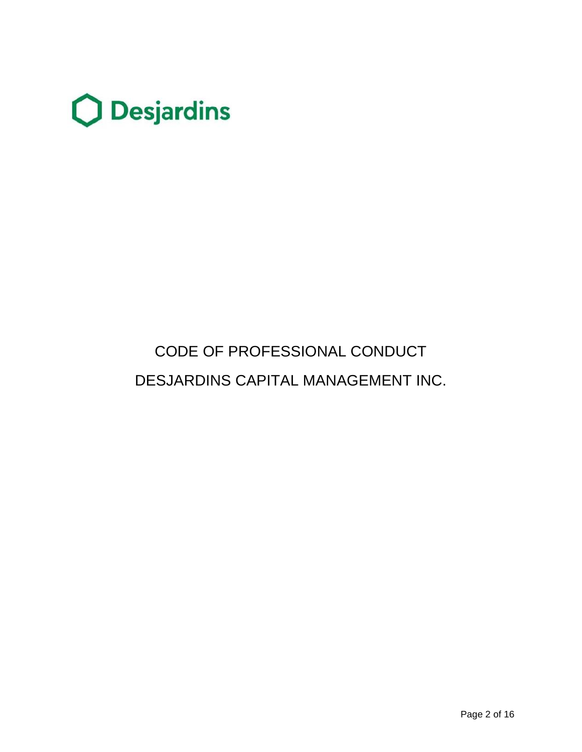

# CODE OF PROFESSIONAL CONDUCT DESJARDINS CAPITAL MANAGEMENT INC.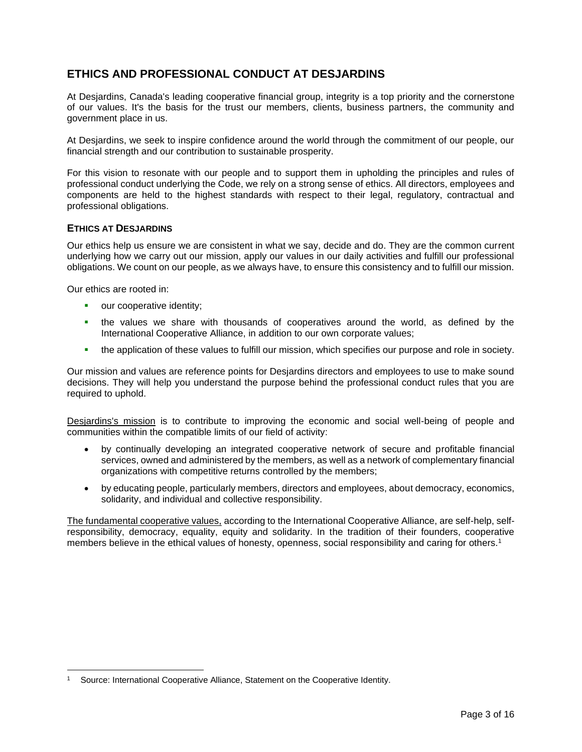# **ETHICS AND PROFESSIONAL CONDUCT AT DESJARDINS**

At Desjardins, Canada's leading cooperative financial group, integrity is a top priority and the cornerstone of our values. It's the basis for the trust our members, clients, business partners, the community and government place in us.

At Desjardins, we seek to inspire confidence around the world through the commitment of our people, our financial strength and our contribution to sustainable prosperity.

For this vision to resonate with our people and to support them in upholding the principles and rules of professional conduct underlying the Code, we rely on a strong sense of ethics. All directors, employees and components are held to the highest standards with respect to their legal, regulatory, contractual and professional obligations.

# **ETHICS AT DESJARDINS**

Our ethics help us ensure we are consistent in what we say, decide and do. They are the common current underlying how we carry out our mission, apply our values in our daily activities and fulfill our professional obligations. We count on our people, as we always have, to ensure this consistency and to fulfill our mission.

Our ethics are rooted in:

- our cooperative identity;
- the values we share with thousands of cooperatives around the world, as defined by the International Cooperative Alliance, in addition to our own corporate values;
- the application of these values to fulfill our mission, which specifies our purpose and role in society.

Our mission and values are reference points for Desjardins directors and employees to use to make sound decisions. They will help you understand the purpose behind the professional conduct rules that you are required to uphold.

Desjardins's mission is to contribute to improving the economic and social well-being of people and communities within the compatible limits of our field of activity:

- by continually developing an integrated cooperative network of secure and profitable financial services, owned and administered by the members, as well as a network of complementary financial organizations with competitive returns controlled by the members;
- by educating people, particularly members, directors and employees, about democracy, economics, solidarity, and individual and collective responsibility.

The fundamental cooperative values, according to the International Cooperative Alliance, are self-help, selfresponsibility, democracy, equality, equity and solidarity. In the tradition of their founders, cooperative members believe in the ethical values of honesty, openness, social responsibility and caring for others.<sup>1</sup>

<sup>1</sup> Source: International Cooperative Alliance, Statement on the Cooperative Identity.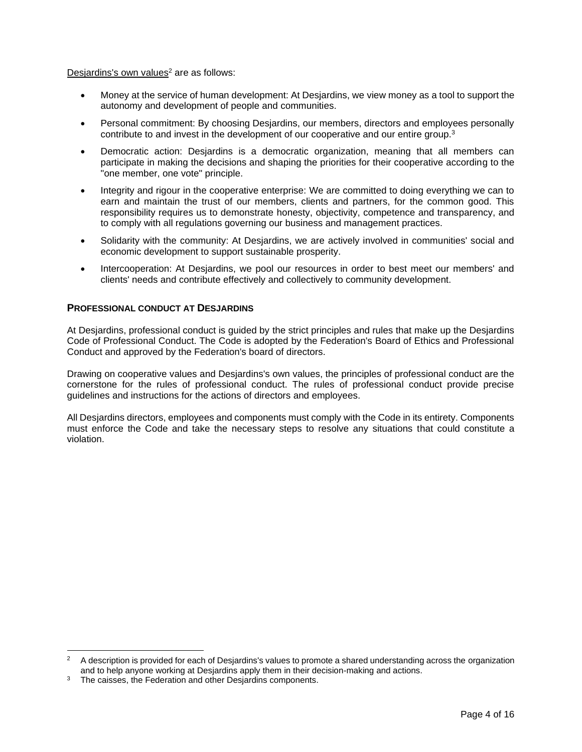Desjardins's own values<sup>2</sup> are as follows:

- Money at the service of human development: At Desjardins, we view money as a tool to support the autonomy and development of people and communities.
- Personal commitment: By choosing Desjardins, our members, directors and employees personally contribute to and invest in the development of our cooperative and our entire group.<sup>3</sup>
- Democratic action: Desjardins is a democratic organization, meaning that all members can participate in making the decisions and shaping the priorities for their cooperative according to the "one member, one vote" principle.
- Integrity and rigour in the cooperative enterprise: We are committed to doing everything we can to earn and maintain the trust of our members, clients and partners, for the common good. This responsibility requires us to demonstrate honesty, objectivity, competence and transparency, and to comply with all regulations governing our business and management practices.
- Solidarity with the community: At Desjardins, we are actively involved in communities' social and economic development to support sustainable prosperity.
- Intercooperation: At Desjardins, we pool our resources in order to best meet our members' and clients' needs and contribute effectively and collectively to community development.

# **PROFESSIONAL CONDUCT AT DESJARDINS**

At Desjardins, professional conduct is guided by the strict principles and rules that make up the Desjardins Code of Professional Conduct. The Code is adopted by the Federation's Board of Ethics and Professional Conduct and approved by the Federation's board of directors.

Drawing on cooperative values and Desjardins's own values, the principles of professional conduct are the cornerstone for the rules of professional conduct. The rules of professional conduct provide precise guidelines and instructions for the actions of directors and employees.

All Desjardins directors, employees and components must comply with the Code in its entirety. Components must enforce the Code and take the necessary steps to resolve any situations that could constitute a violation.

<sup>2</sup> A description is provided for each of Desjardins's values to promote a shared understanding across the organization and to help anyone working at Desjardins apply them in their decision-making and actions.

<sup>&</sup>lt;sup>3</sup> The caisses, the Federation and other Desiardins components.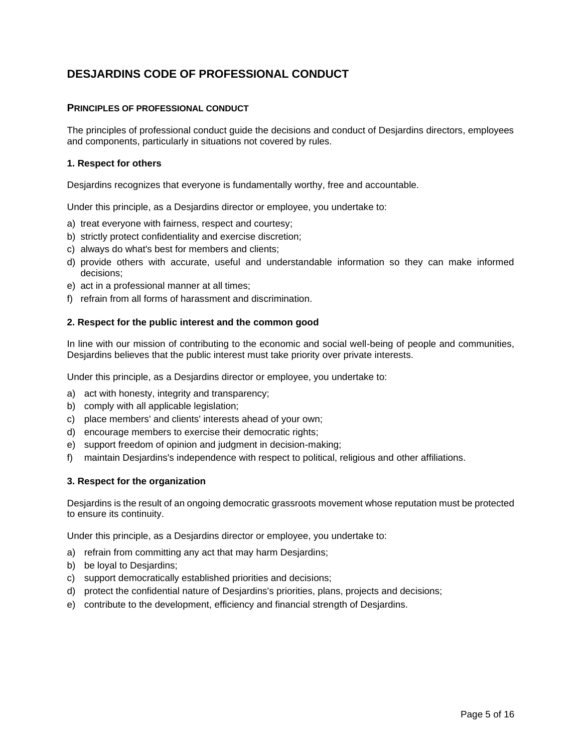# **DESJARDINS CODE OF PROFESSIONAL CONDUCT**

## **PRINCIPLES OF PROFESSIONAL CONDUCT**

The principles of professional conduct guide the decisions and conduct of Desjardins directors, employees and components, particularly in situations not covered by rules.

## **1. Respect for others**

Desjardins recognizes that everyone is fundamentally worthy, free and accountable.

Under this principle, as a Desjardins director or employee, you undertake to:

- a) treat everyone with fairness, respect and courtesy;
- b) strictly protect confidentiality and exercise discretion;
- c) always do what's best for members and clients;
- d) provide others with accurate, useful and understandable information so they can make informed decisions;
- e) act in a professional manner at all times;
- f) refrain from all forms of harassment and discrimination.

#### **2. Respect for the public interest and the common good**

In line with our mission of contributing to the economic and social well-being of people and communities, Desjardins believes that the public interest must take priority over private interests.

Under this principle, as a Desjardins director or employee, you undertake to:

- a) act with honesty, integrity and transparency;
- b) comply with all applicable legislation;
- c) place members' and clients' interests ahead of your own;
- d) encourage members to exercise their democratic rights;
- e) support freedom of opinion and judgment in decision-making;
- f) maintain Desjardins's independence with respect to political, religious and other affiliations.

#### **3. Respect for the organization**

Desjardins is the result of an ongoing democratic grassroots movement whose reputation must be protected to ensure its continuity.

Under this principle, as a Desjardins director or employee, you undertake to:

- a) refrain from committing any act that may harm Desjardins;
- b) be loyal to Desjardins;
- c) support democratically established priorities and decisions;
- d) protect the confidential nature of Desjardins's priorities, plans, projects and decisions;
- e) contribute to the development, efficiency and financial strength of Desjardins.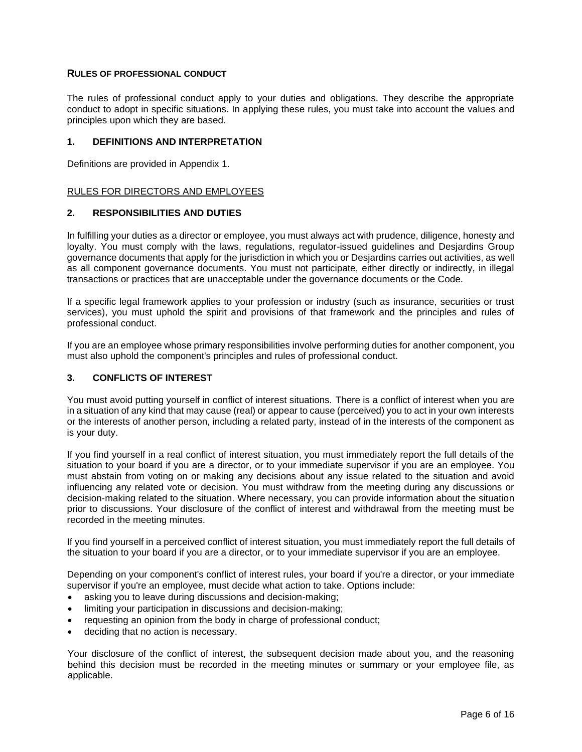## **RULES OF PROFESSIONAL CONDUCT**

The rules of professional conduct apply to your duties and obligations. They describe the appropriate conduct to adopt in specific situations. In applying these rules, you must take into account the values and principles upon which they are based.

## **1. DEFINITIONS AND INTERPRETATION**

Definitions are provided in Appendix 1.

# RULES FOR DIRECTORS AND EMPLOYEES

# **2. RESPONSIBILITIES AND DUTIES**

In fulfilling your duties as a director or employee, you must always act with prudence, diligence, honesty and loyalty. You must comply with the laws, regulations, regulator-issued guidelines and Desjardins Group governance documents that apply for the jurisdiction in which you or Desjardins carries out activities, as well as all component governance documents. You must not participate, either directly or indirectly, in illegal transactions or practices that are unacceptable under the governance documents or the Code.

If a specific legal framework applies to your profession or industry (such as insurance, securities or trust services), you must uphold the spirit and provisions of that framework and the principles and rules of professional conduct.

If you are an employee whose primary responsibilities involve performing duties for another component, you must also uphold the component's principles and rules of professional conduct.

# **3. CONFLICTS OF INTEREST**

You must avoid putting yourself in conflict of interest situations. There is a conflict of interest when you are in a situation of any kind that may cause (real) or appear to cause (perceived) you to act in your own interests or the interests of another person, including a related party, instead of in the interests of the component as is your duty.

If you find yourself in a real conflict of interest situation, you must immediately report the full details of the situation to your board if you are a director, or to your immediate supervisor if you are an employee. You must abstain from voting on or making any decisions about any issue related to the situation and avoid influencing any related vote or decision. You must withdraw from the meeting during any discussions or decision-making related to the situation. Where necessary, you can provide information about the situation prior to discussions. Your disclosure of the conflict of interest and withdrawal from the meeting must be recorded in the meeting minutes.

If you find yourself in a perceived conflict of interest situation, you must immediately report the full details of the situation to your board if you are a director, or to your immediate supervisor if you are an employee.

Depending on your component's conflict of interest rules, your board if you're a director, or your immediate supervisor if you're an employee, must decide what action to take. Options include:

- asking you to leave during discussions and decision-making:
- limiting your participation in discussions and decision-making;
- requesting an opinion from the body in charge of professional conduct;
- deciding that no action is necessary.

Your disclosure of the conflict of interest, the subsequent decision made about you, and the reasoning behind this decision must be recorded in the meeting minutes or summary or your employee file, as applicable.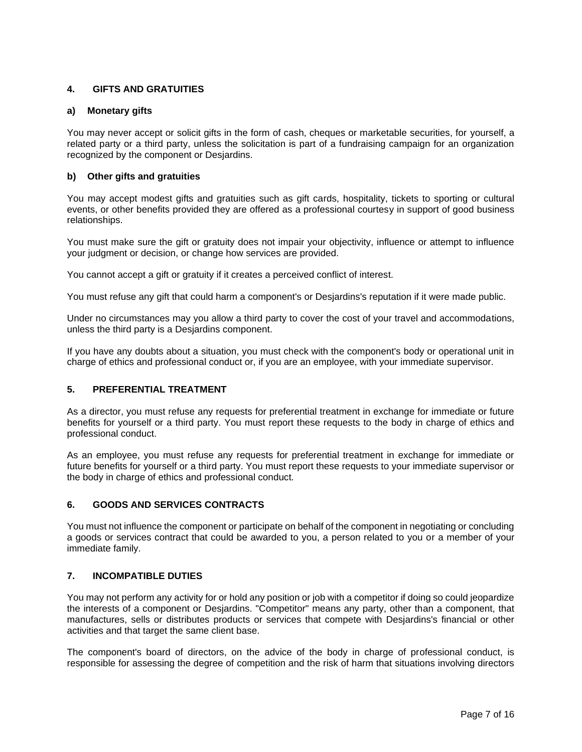# **4. GIFTS AND GRATUITIES**

#### **a) Monetary gifts**

You may never accept or solicit gifts in the form of cash, cheques or marketable securities, for yourself, a related party or a third party, unless the solicitation is part of a fundraising campaign for an organization recognized by the component or Desjardins.

#### **b) Other gifts and gratuities**

You may accept modest gifts and gratuities such as gift cards, hospitality, tickets to sporting or cultural events, or other benefits provided they are offered as a professional courtesy in support of good business relationships.

You must make sure the gift or gratuity does not impair your objectivity, influence or attempt to influence your judgment or decision, or change how services are provided.

You cannot accept a gift or gratuity if it creates a perceived conflict of interest.

You must refuse any gift that could harm a component's or Desjardins's reputation if it were made public.

Under no circumstances may you allow a third party to cover the cost of your travel and accommodations, unless the third party is a Desjardins component.

If you have any doubts about a situation, you must check with the component's body or operational unit in charge of ethics and professional conduct or, if you are an employee, with your immediate supervisor.

#### **5. PREFERENTIAL TREATMENT**

As a director, you must refuse any requests for preferential treatment in exchange for immediate or future benefits for yourself or a third party. You must report these requests to the body in charge of ethics and professional conduct.

As an employee, you must refuse any requests for preferential treatment in exchange for immediate or future benefits for yourself or a third party. You must report these requests to your immediate supervisor or the body in charge of ethics and professional conduct.

#### **6. GOODS AND SERVICES CONTRACTS**

You must not influence the component or participate on behalf of the component in negotiating or concluding a goods or services contract that could be awarded to you, a person related to you or a member of your immediate family.

## **7. INCOMPATIBLE DUTIES**

You may not perform any activity for or hold any position or job with a competitor if doing so could jeopardize the interests of a component or Desjardins. "Competitor" means any party, other than a component, that manufactures, sells or distributes products or services that compete with Desjardins's financial or other activities and that target the same client base.

The component's board of directors, on the advice of the body in charge of professional conduct, is responsible for assessing the degree of competition and the risk of harm that situations involving directors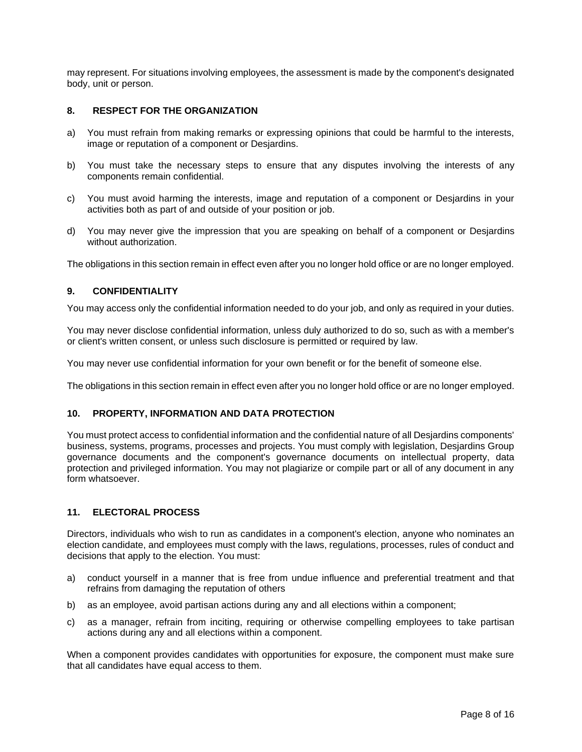may represent. For situations involving employees, the assessment is made by the component's designated body, unit or person.

## **8. RESPECT FOR THE ORGANIZATION**

- a) You must refrain from making remarks or expressing opinions that could be harmful to the interests, image or reputation of a component or Desjardins.
- b) You must take the necessary steps to ensure that any disputes involving the interests of any components remain confidential.
- c) You must avoid harming the interests, image and reputation of a component or Desjardins in your activities both as part of and outside of your position or job.
- d) You may never give the impression that you are speaking on behalf of a component or Desjardins without authorization.

The obligations in this section remain in effect even after you no longer hold office or are no longer employed.

# **9. CONFIDENTIALITY**

You may access only the confidential information needed to do your job, and only as required in your duties.

You may never disclose confidential information, unless duly authorized to do so, such as with a member's or client's written consent, or unless such disclosure is permitted or required by law.

You may never use confidential information for your own benefit or for the benefit of someone else.

The obligations in this section remain in effect even after you no longer hold office or are no longer employed.

#### **10. PROPERTY, INFORMATION AND DATA PROTECTION**

You must protect access to confidential information and the confidential nature of all Desjardins components' business, systems, programs, processes and projects. You must comply with legislation, Desjardins Group governance documents and the component's governance documents on intellectual property, data protection and privileged information. You may not plagiarize or compile part or all of any document in any form whatsoever.

# **11. ELECTORAL PROCESS**

Directors, individuals who wish to run as candidates in a component's election, anyone who nominates an election candidate, and employees must comply with the laws, regulations, processes, rules of conduct and decisions that apply to the election. You must:

- a) conduct yourself in a manner that is free from undue influence and preferential treatment and that refrains from damaging the reputation of others
- b) as an employee, avoid partisan actions during any and all elections within a component;
- c) as a manager, refrain from inciting, requiring or otherwise compelling employees to take partisan actions during any and all elections within a component.

When a component provides candidates with opportunities for exposure, the component must make sure that all candidates have equal access to them.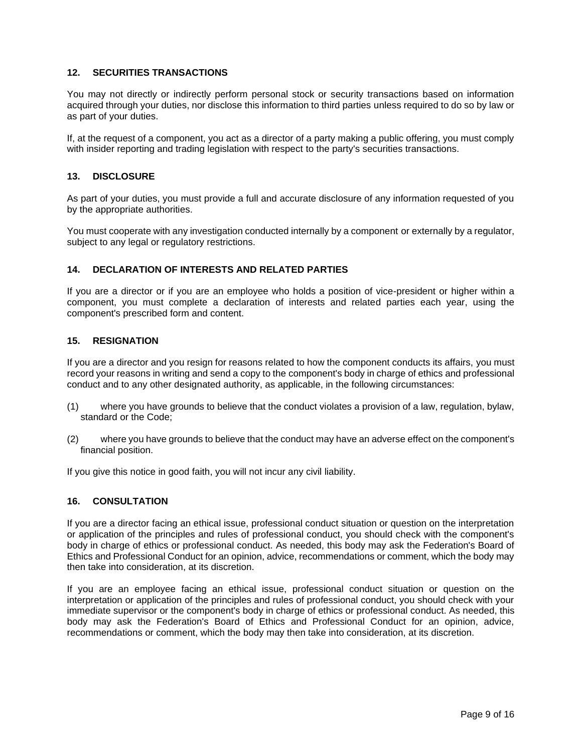# **12. SECURITIES TRANSACTIONS**

You may not directly or indirectly perform personal stock or security transactions based on information acquired through your duties, nor disclose this information to third parties unless required to do so by law or as part of your duties.

If, at the request of a component, you act as a director of a party making a public offering, you must comply with insider reporting and trading legislation with respect to the party's securities transactions.

#### **13. DISCLOSURE**

As part of your duties, you must provide a full and accurate disclosure of any information requested of you by the appropriate authorities.

You must cooperate with any investigation conducted internally by a component or externally by a regulator, subject to any legal or regulatory restrictions.

#### **14. DECLARATION OF INTERESTS AND RELATED PARTIES**

If you are a director or if you are an employee who holds a position of vice-president or higher within a component, you must complete a declaration of interests and related parties each year, using the component's prescribed form and content.

#### **15. RESIGNATION**

If you are a director and you resign for reasons related to how the component conducts its affairs, you must record your reasons in writing and send a copy to the component's body in charge of ethics and professional conduct and to any other designated authority, as applicable, in the following circumstances:

- (1) where you have grounds to believe that the conduct violates a provision of a law, regulation, bylaw, standard or the Code;
- (2) where you have grounds to believe that the conduct may have an adverse effect on the component's financial position.

If you give this notice in good faith, you will not incur any civil liability.

#### **16. CONSULTATION**

If you are a director facing an ethical issue, professional conduct situation or question on the interpretation or application of the principles and rules of professional conduct, you should check with the component's body in charge of ethics or professional conduct. As needed, this body may ask the Federation's Board of Ethics and Professional Conduct for an opinion, advice, recommendations or comment, which the body may then take into consideration, at its discretion.

If you are an employee facing an ethical issue, professional conduct situation or question on the interpretation or application of the principles and rules of professional conduct, you should check with your immediate supervisor or the component's body in charge of ethics or professional conduct. As needed, this body may ask the Federation's Board of Ethics and Professional Conduct for an opinion, advice, recommendations or comment, which the body may then take into consideration, at its discretion.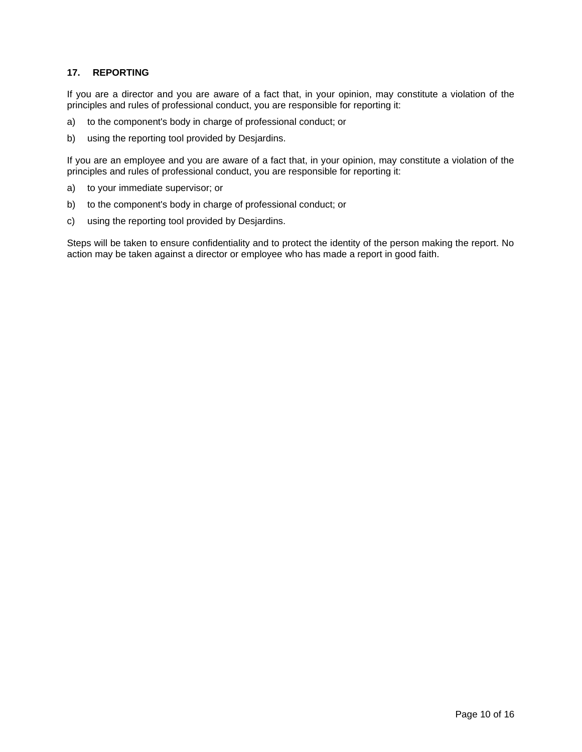# **17. REPORTING**

If you are a director and you are aware of a fact that, in your opinion, may constitute a violation of the principles and rules of professional conduct, you are responsible for reporting it:

- a) to the component's body in charge of professional conduct; or
- b) using the reporting tool provided by Desjardins.

If you are an employee and you are aware of a fact that, in your opinion, may constitute a violation of the principles and rules of professional conduct, you are responsible for reporting it:

- a) to your immediate supervisor; or
- b) to the component's body in charge of professional conduct; or
- c) using the reporting tool provided by Desjardins.

Steps will be taken to ensure confidentiality and to protect the identity of the person making the report. No action may be taken against a director or employee who has made a report in good faith.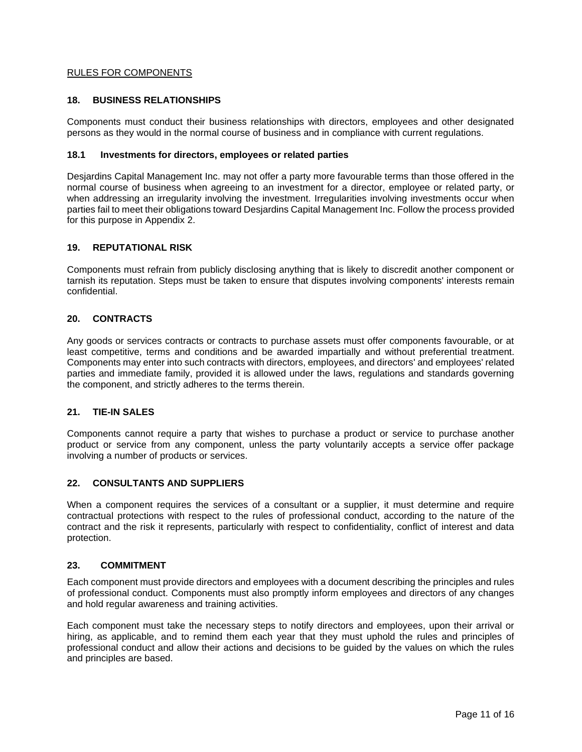# RULES FOR COMPONENTS

#### **18. BUSINESS RELATIONSHIPS**

Components must conduct their business relationships with directors, employees and other designated persons as they would in the normal course of business and in compliance with current regulations.

#### **18.1 Investments for directors, employees or related parties**

Desjardins Capital Management Inc. may not offer a party more favourable terms than those offered in the normal course of business when agreeing to an investment for a director, employee or related party, or when addressing an irregularity involving the investment. Irregularities involving investments occur when parties fail to meet their obligations toward Desjardins Capital Management Inc. Follow the process provided for this purpose in Appendix 2.

#### **19. REPUTATIONAL RISK**

Components must refrain from publicly disclosing anything that is likely to discredit another component or tarnish its reputation. Steps must be taken to ensure that disputes involving components' interests remain confidential.

# **20. CONTRACTS**

Any goods or services contracts or contracts to purchase assets must offer components favourable, or at least competitive, terms and conditions and be awarded impartially and without preferential treatment. Components may enter into such contracts with directors, employees, and directors' and employees' related parties and immediate family, provided it is allowed under the laws, regulations and standards governing the component, and strictly adheres to the terms therein.

#### **21. TIE-IN SALES**

Components cannot require a party that wishes to purchase a product or service to purchase another product or service from any component, unless the party voluntarily accepts a service offer package involving a number of products or services.

## **22. CONSULTANTS AND SUPPLIERS**

When a component requires the services of a consultant or a supplier, it must determine and require contractual protections with respect to the rules of professional conduct, according to the nature of the contract and the risk it represents, particularly with respect to confidentiality, conflict of interest and data protection.

#### **23. COMMITMENT**

Each component must provide directors and employees with a document describing the principles and rules of professional conduct. Components must also promptly inform employees and directors of any changes and hold regular awareness and training activities.

Each component must take the necessary steps to notify directors and employees, upon their arrival or hiring, as applicable, and to remind them each year that they must uphold the rules and principles of professional conduct and allow their actions and decisions to be guided by the values on which the rules and principles are based.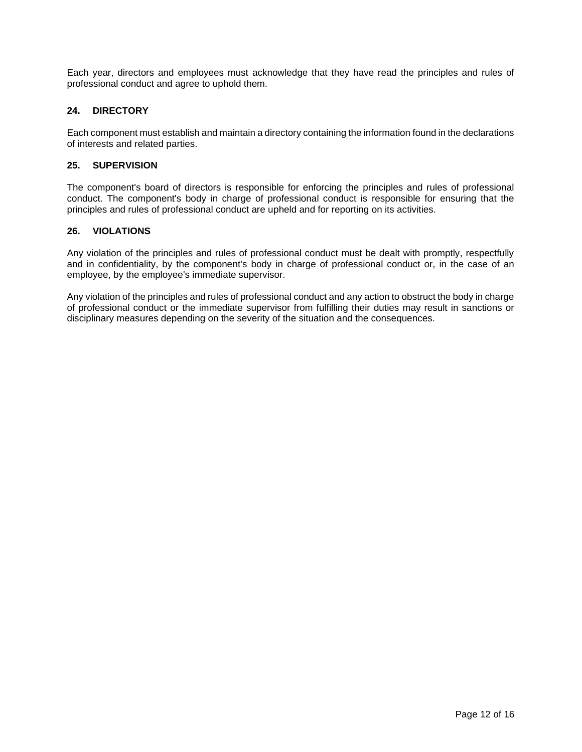Each year, directors and employees must acknowledge that they have read the principles and rules of professional conduct and agree to uphold them.

# **24. DIRECTORY**

Each component must establish and maintain a directory containing the information found in the declarations of interests and related parties.

## **25. SUPERVISION**

The component's board of directors is responsible for enforcing the principles and rules of professional conduct. The component's body in charge of professional conduct is responsible for ensuring that the principles and rules of professional conduct are upheld and for reporting on its activities.

#### **26. VIOLATIONS**

Any violation of the principles and rules of professional conduct must be dealt with promptly, respectfully and in confidentiality, by the component's body in charge of professional conduct or, in the case of an employee, by the employee's immediate supervisor.

Any violation of the principles and rules of professional conduct and any action to obstruct the body in charge of professional conduct or the immediate supervisor from fulfilling their duties may result in sanctions or disciplinary measures depending on the severity of the situation and the consequences.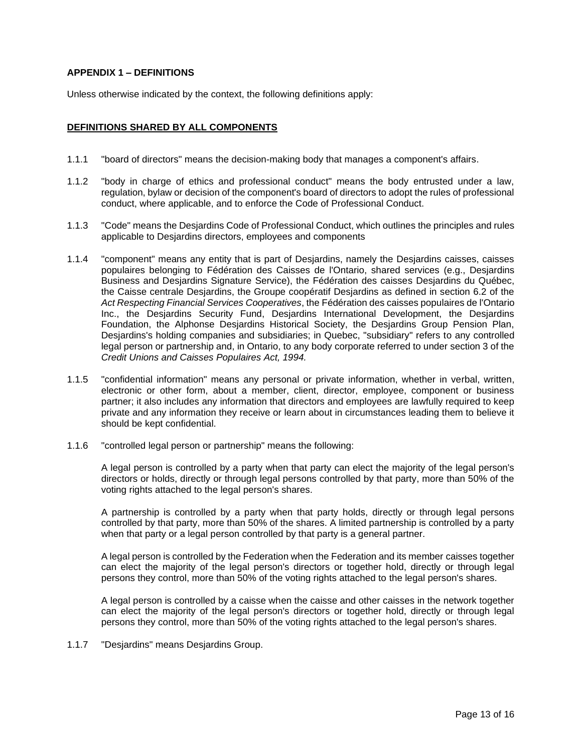# **APPENDIX 1 – DEFINITIONS**

Unless otherwise indicated by the context, the following definitions apply:

#### **DEFINITIONS SHARED BY ALL COMPONENTS**

- 1.1.1 "board of directors" means the decision-making body that manages a component's affairs.
- 1.1.2 "body in charge of ethics and professional conduct" means the body entrusted under a law, regulation, bylaw or decision of the component's board of directors to adopt the rules of professional conduct, where applicable, and to enforce the Code of Professional Conduct.
- 1.1.3 "Code" means the Desjardins Code of Professional Conduct, which outlines the principles and rules applicable to Desjardins directors, employees and components
- 1.1.4 "component" means any entity that is part of Desjardins, namely the Desjardins caisses, caisses populaires belonging to Fédération des Caisses de l'Ontario, shared services (e.g., Desjardins Business and Desjardins Signature Service), the Fédération des caisses Desjardins du Québec, the Caisse centrale Desjardins, the Groupe coopératif Desjardins as defined in section 6.2 of the *Act Respecting Financial Services Cooperatives*, the Fédération des caisses populaires de l'Ontario Inc., the Desjardins Security Fund, Desjardins International Development, the Desjardins Foundation, the Alphonse Desjardins Historical Society, the Desjardins Group Pension Plan, Desjardins's holding companies and subsidiaries; in Quebec, "subsidiary" refers to any controlled legal person or partnership and, in Ontario, to any body corporate referred to under section 3 of the *Credit Unions and Caisses Populaires Act, 1994.*
- 1.1.5 "confidential information" means any personal or private information, whether in verbal, written, electronic or other form, about a member, client, director, employee, component or business partner; it also includes any information that directors and employees are lawfully required to keep private and any information they receive or learn about in circumstances leading them to believe it should be kept confidential.
- 1.1.6 "controlled legal person or partnership" means the following:

A legal person is controlled by a party when that party can elect the majority of the legal person's directors or holds, directly or through legal persons controlled by that party, more than 50% of the voting rights attached to the legal person's shares.

A partnership is controlled by a party when that party holds, directly or through legal persons controlled by that party, more than 50% of the shares. A limited partnership is controlled by a party when that party or a legal person controlled by that party is a general partner.

A legal person is controlled by the Federation when the Federation and its member caisses together can elect the majority of the legal person's directors or together hold, directly or through legal persons they control, more than 50% of the voting rights attached to the legal person's shares.

A legal person is controlled by a caisse when the caisse and other caisses in the network together can elect the majority of the legal person's directors or together hold, directly or through legal persons they control, more than 50% of the voting rights attached to the legal person's shares.

1.1.7 "Desjardins" means Desjardins Group.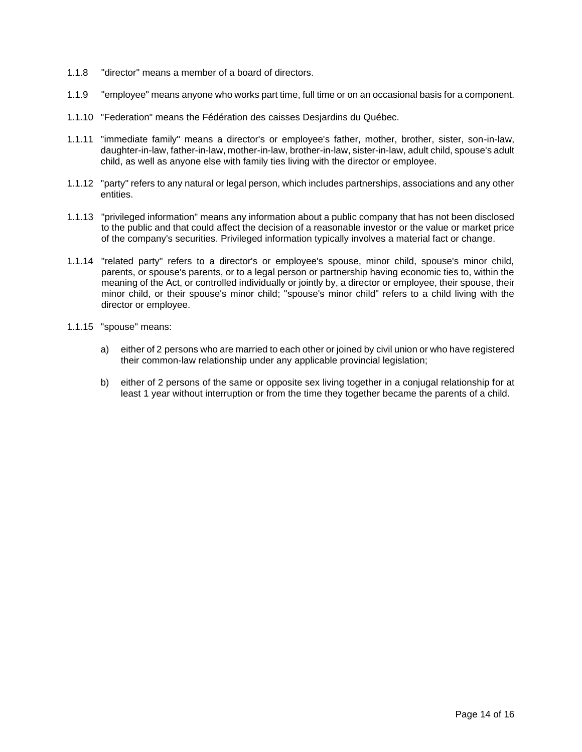- 1.1.8 "director" means a member of a board of directors.
- 1.1.9 "employee" means anyone who works part time, full time or on an occasional basis for a component.
- 1.1.10 "Federation" means the Fédération des caisses Desjardins du Québec.
- 1.1.11 "immediate family" means a director's or employee's father, mother, brother, sister, son-in-law, daughter-in-law, father-in-law, mother-in-law, brother-in-law, sister-in-law, adult child, spouse's adult child, as well as anyone else with family ties living with the director or employee.
- 1.1.12 "party" refers to any natural or legal person, which includes partnerships, associations and any other entities.
- 1.1.13 "privileged information" means any information about a public company that has not been disclosed to the public and that could affect the decision of a reasonable investor or the value or market price of the company's securities. Privileged information typically involves a material fact or change.
- 1.1.14 "related party" refers to a director's or employee's spouse, minor child, spouse's minor child, parents, or spouse's parents, or to a legal person or partnership having economic ties to, within the meaning of the Act, or controlled individually or jointly by, a director or employee, their spouse, their minor child, or their spouse's minor child; "spouse's minor child" refers to a child living with the director or employee.
- 1.1.15 "spouse" means:
	- a) either of 2 persons who are married to each other or joined by civil union or who have registered their common-law relationship under any applicable provincial legislation;
	- b) either of 2 persons of the same or opposite sex living together in a conjugal relationship for at least 1 year without interruption or from the time they together became the parents of a child.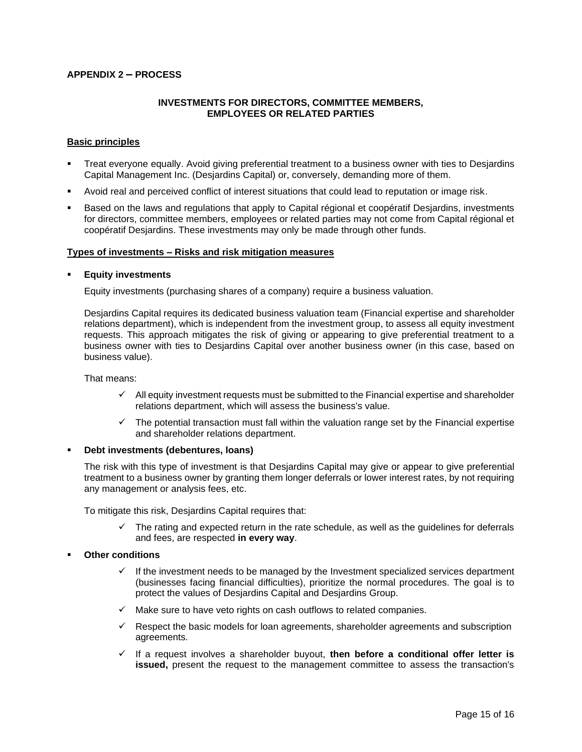## **APPENDIX 2 – PROCESS**

#### **INVESTMENTS FOR DIRECTORS, COMMITTEE MEMBERS, EMPLOYEES OR RELATED PARTIES**

#### **Basic principles**

- Treat everyone equally. Avoid giving preferential treatment to a business owner with ties to Desjardins Capital Management Inc. (Desjardins Capital) or, conversely, demanding more of them.
- Avoid real and perceived conflict of interest situations that could lead to reputation or image risk.
- Based on the laws and regulations that apply to Capital régional et coopératif Desjardins, investments for directors, committee members, employees or related parties may not come from Capital régional et coopératif Desjardins. These investments may only be made through other funds.

#### **Types of investments – Risks and risk mitigation measures**

#### **Equity investments**

Equity investments (purchasing shares of a company) require a business valuation.

Desjardins Capital requires its dedicated business valuation team (Financial expertise and shareholder relations department), which is independent from the investment group, to assess all equity investment requests. This approach mitigates the risk of giving or appearing to give preferential treatment to a business owner with ties to Desjardins Capital over another business owner (in this case, based on business value).

That means:

- $\checkmark$  All equity investment requests must be submitted to the Financial expertise and shareholder relations department, which will assess the business's value.
- $\checkmark$  The potential transaction must fall within the valuation range set by the Financial expertise and shareholder relations department.

#### **Debt investments (debentures, loans)**

The risk with this type of investment is that Desjardins Capital may give or appear to give preferential treatment to a business owner by granting them longer deferrals or lower interest rates, by not requiring any management or analysis fees, etc.

To mitigate this risk, Desjardins Capital requires that:

 $\checkmark$  The rating and expected return in the rate schedule, as well as the guidelines for deferrals and fees, are respected **in every way**.

#### **Other conditions**

- $\checkmark$  If the investment needs to be managed by the Investment specialized services department (businesses facing financial difficulties), prioritize the normal procedures. The goal is to protect the values of Desjardins Capital and Desjardins Group.
- $\checkmark$  Make sure to have veto rights on cash outflows to related companies.
- $\checkmark$  Respect the basic models for loan agreements, shareholder agreements and subscription agreements.
- ✓ If a request involves a shareholder buyout, **then before a conditional offer letter is issued,** present the request to the management committee to assess the transaction's